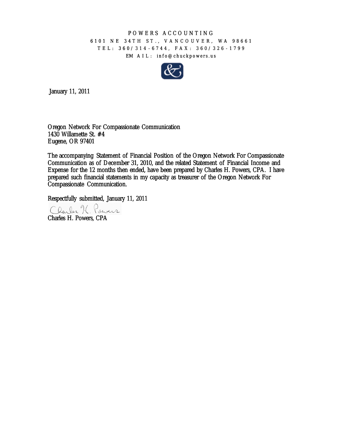## POWERS ACCOUNTING POWERS ACCOUNTING6101 NE 34TH ST., VANCOUVER, WA 98661 01 NE 34TH ST., VANCOUVER, WA 986<br>TEL: 360/314-6744, FAX: 360/326-1799 EM AIL: info@chuckpowers.us



January 11, 2011

January 11, 2011<br>Oregon Network For Compassionate Communication 1430 Willamette St. #4 Eugene, OR 97401

The accompanying Statement of Financial Position of the Oregon Network For Compassionate Communication as of December 31, 2010, and the related Statement of Financial Income and Expense for the 12 months then ended, have been prepared by Charles H. Powers, CPA. I have prepared such financial statements in my capacity as treasurer of the Oregon Network For Compassionate Communication. 1430 Willamette St. #4<br>
Eugene, OR 97401<br>
The accompanying Statement of Financial Position of the Oregon Network For Compassic<br>
Communication as of December 31, 2010, and the related Statement of Financial Income<br>
Expense

Respectfully submitted, January 11, 2011

Charles H. Powers, CPA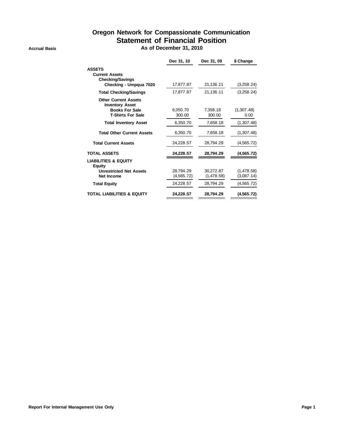## **Oregon Network for Compassionate Communication Statement of Financial Position**

**Accrual Basis As of December 31, 2010**

|                                                                                                            | Dec 31, 10         | Dec 31, 09         | \$ Change          |
|------------------------------------------------------------------------------------------------------------|--------------------|--------------------|--------------------|
| <b>ASSETS</b><br><b>Current Assets</b><br><b>Checking/Savings</b><br>Checking - Umpqua 7020                | 17,877.87          | 21,136.11          | (3,258.24)         |
| <b>Total Checking/Savings</b>                                                                              | 17,877.87          | 21,136.11          | (3,258.24)         |
| <b>Other Current Assets</b><br><b>Inventory Asset</b><br><b>Books For Sale</b><br><b>T-Shirts For Sale</b> | 6.050.70<br>300.00 | 7.358.18<br>300.00 | (1,307.48)<br>0.00 |
| <b>Total Inventory Asset</b>                                                                               | 6,350.70           | 7,658.18           | (1,307.48)         |
| <b>Total Other Current Assets</b>                                                                          | 6,350.70           | 7,658.18           | (1,307.48)         |
| <b>Total Current Assets</b>                                                                                | 24,228.57          | 28,794.29          | (4, 565.72)        |
| <b>TOTAL ASSETS</b>                                                                                        | 24,228.57          | 28,794.29          | (4, 565.72)        |
| <b>LIABILITIES &amp; EQUITY</b><br><b>Equity</b>                                                           |                    |                    |                    |
| <b>Unrestricted Net Assets</b>                                                                             | 28.794.29          | 30.272.87          | (1,478.58)         |
| <b>Net Income</b>                                                                                          | (4,565.72)         | (1,478.58)         | (3,087.14)         |
| <b>Total Equity</b>                                                                                        | 24,228.57          | 28,794.29          | (4,565.72)         |
| <b>TOTAL LIABILITIES &amp; EQUITY</b>                                                                      | 24,228.57          | 28,794.29          | (4, 565.72)        |